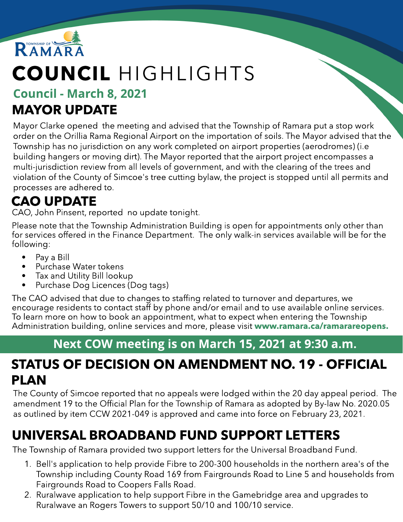

# COUNCIL HIGHLIGHTS

#### Council - March 8, 2021 MAYOR UPDATE

Mayor Clarke opened the meeting and advised that the Township of Ramara put a stop work order on the Orillia Rama Regional Airport on the importation of soils. The Mayor advised that the Township has no jurisdiction on any work completed on airport properties (aerodromes) (i.e building hangers or moving dirt). The Mayor reported that the airport project encompasses a multi-jurisdiction review from all levels of government, and with the clearing of the trees and violation of the County of Simcoe's tree cutting bylaw, the project is stopped until all permits and processes are adhered to.

# CAO UPDATE

CAO, John Pinsent, reported no update tonight.

Please note that the Township Administration Building is open for appointments only other than for services offered in the Finance Department. The only walk-in services available will be for the following:

- Pay a Bill
- Purchase Water tokens
- Tax and Utility Bill lookup
- Purchase Dog Licences (Dog tags)

The CAO advised that due to changes to staffing related to turnover and departures, we encourage residents to contact staff by phone and/or email and to use available online services. To learn more on how to book an appointment, what to expect when entering the Township Administration building, online services and more, please visit ww[w.ramara.ca/ramarareopens.](http://www.ramara.ca/ramarareopens)

#### Next COW meeting is on March 15, 2021 at 9:30 a.m.

#### STATUS OF DECISION ON AMENDMENT NO. 19 - OFFICIAL PLAN

The County of Simcoe reported that no appeals were lodged within the 20 day appeal period. The amendment 19 to the Official Plan for the Township of Ramara as adopted by By-law No. 2020.05 as outlined by item CCW 2021-049 is approved and came into force on February 23, 2021.

# UNIVERSAL BROADBAND FUND SUPPORT LETTERS

The Township of Ramara provided two support letters for the Universal Broadband Fund.

- 1. Bell's application to help provide Fibre to 200-300 households in the northern area's of the Township including County Road 169 from Fairgrounds Road to Line 5 and households from Fairgrounds Road to Coopers Falls Road.
- 2. Ruralwave application to help support Fibre in the Gamebridge area and upgrades to Ruralwave an Rogers Towers to support 50/10 and 100/10 service.